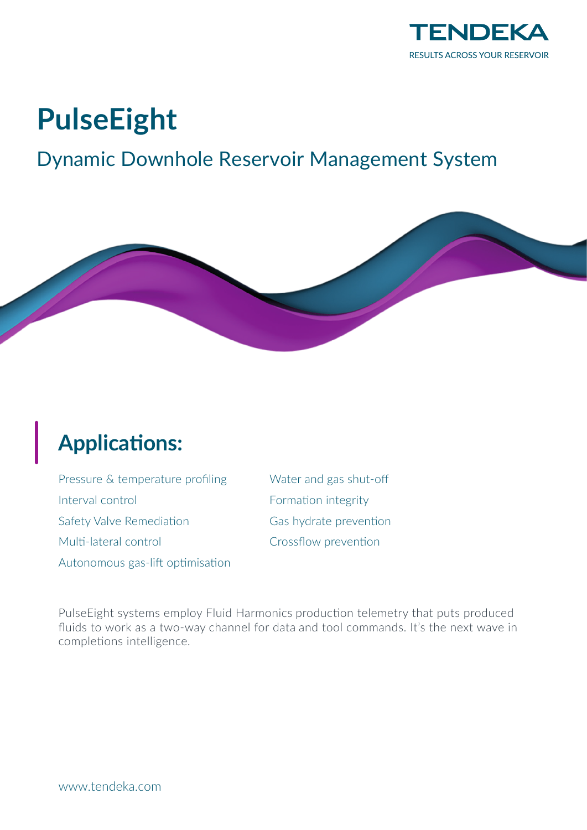

# **PulseEight**

### Dynamic Downhole Reservoir Management System



## **Applications:**

Pressure & temperature profiling Interval control Safety Valve Remediation Multi-lateral control Autonomous gas-lift optimisation Water and gas shut-off Formation integrity Gas hydrate prevention Crossflow prevention

PulseEight systems employ Fluid Harmonics production telemetry that puts produced fluids to work as a two-way channel for data and tool commands. It's the next wave in completions intelligence.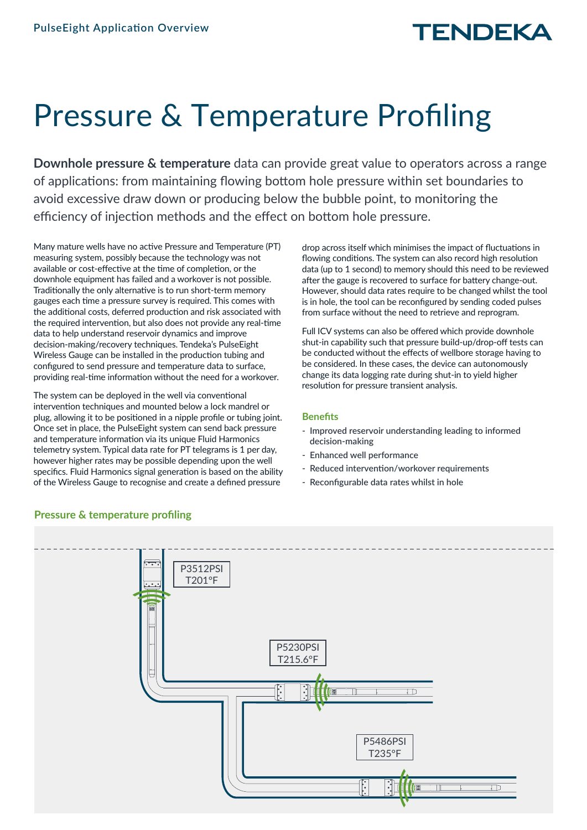# Pressure & Temperature Profiling

**Downhole pressure & temperature** data can provide great value to operators across a range of applications: from maintaining flowing bottom hole pressure within set boundaries to avoid excessive draw down or producing below the bubble point, to monitoring the efficiency of injection methods and the effect on bottom hole pressure.

Many mature wells have no active Pressure and Temperature (PT) measuring system, possibly because the technology was not available or cost-effective at the time of completion, or the downhole equipment has failed and a workover is not possible. Traditionally the only alternative is to run short-term memory gauges each time a pressure survey is required. This comes with the additional costs, deferred production and risk associated with the required intervention, but also does not provide any real-time data to help understand reservoir dynamics and improve decision-making/recovery techniques. Tendeka's PulseEight Wireless Gauge can be installed in the production tubing and configured to send pressure and temperature data to surface, providing real-time information without the need for a workover.

The system can be deployed in the well via conventional intervention techniques and mounted below a lock mandrel or plug, allowing it to be positioned in a nipple profile or tubing joint. Once set in place, the PulseEight system can send back pressure and temperature information via its unique Fluid Harmonics telemetry system. Typical data rate for PT telegrams is 1 per day, however higher rates may be possible depending upon the well specifics. Fluid Harmonics signal generation is based on the ability of the Wireless Gauge to recognise and create a defined pressure

drop across itself which minimises the impact of fluctuations in flowing conditions. The system can also record high resolution data (up to 1 second) to memory should this need to be reviewed after the gauge is recovered to surface for battery change-out. However, should data rates require to be changed whilst the tool is in hole, the tool can be reconfigured by sending coded pulses from surface without the need to retrieve and reprogram.

Full ICV systems can also be offered which provide downhole shut-in capability such that pressure build-up/drop-off tests can be conducted without the effects of wellbore storage having to be considered. In these cases, the device can autonomously change its data logging rate during shut-in to yield higher resolution for pressure transient analysis.

#### **Benefits**

- **Improved reservoir understanding leading to informed decision-making**
- **Enhanced well performance**
- **Reduced intervention/workover requirements**
- **Reconfigurable data rates whilst in hole**



### **Pressure & temperature profiling**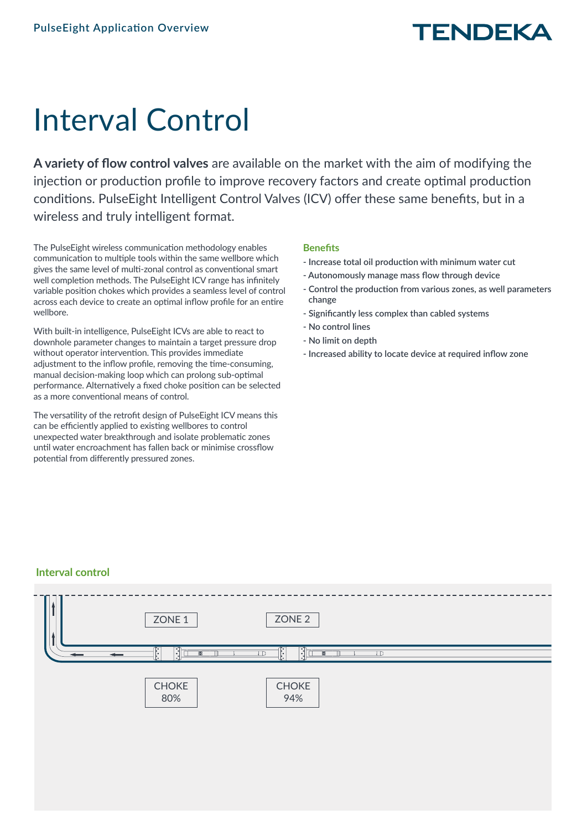# Interval Control

**A variety of flow control valves** are available on the market with the aim of modifying the injection or production profile to improve recovery factors and create optimal production conditions. PulseEight Intelligent Control Valves (ICV) offer these same benefits, but in a wireless and truly intelligent format.

The PulseEight wireless communication methodology enables communication to multiple tools within the same wellbore which gives the same level of multi-zonal control as conventional smart well completion methods. The PulseEight ICV range has infinitely variable position chokes which provides a seamless level of control across each device to create an optimal inflow profile for an entire wellbore.

With built-in intelligence, PulseEight ICVs are able to react to downhole parameter changes to maintain a target pressure drop without operator intervention. This provides immediate adjustment to the inflow profile, removing the time-consuming, manual decision-making loop which can prolong sub-optimal performance. Alternatively a fixed choke position can be selected as a more conventional means of control.

The versatility of the retrofit design of PulseEight ICV means this can be efficiently applied to existing wellbores to control unexpected water breakthrough and isolate problematic zones until water encroachment has fallen back or minimise crossflow potential from differently pressured zones.

### **Benefits**

- **Increase total oil production with minimum water cut**
- **Autonomously manage mass flow through device**
- **Control the production from various zones, as well parameters change**
- **Significantly less complex than cabled systems**
- **No control lines**
- **No limit on depth**
- **Increased ability to locate device at required inflow zone**

### **Interval control**

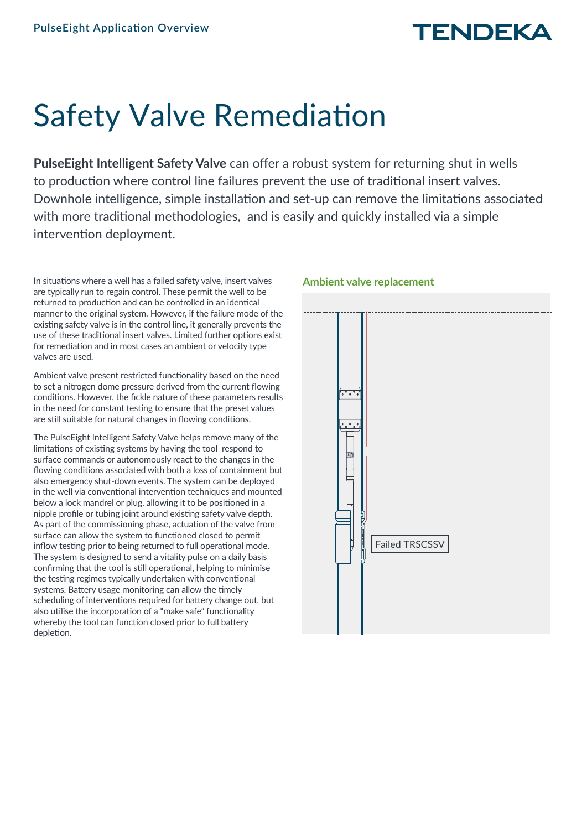# Safety Valve Remediation

**PulseEight Intelligent Safety Valve** can offer a robust system for returning shut in wells to production where control line failures prevent the use of traditional insert valves. Downhole intelligence, simple installation and set-up can remove the limitations associated with more traditional methodologies, and is easily and quickly installed via a simple intervention deployment.

In situations where a well has a failed safety valve, insert valves are typically run to regain control. These permit the well to be returned to production and can be controlled in an identical manner to the original system. However, if the failure mode of the existing safety valve is in the control line, it generally prevents the use of these traditional insert valves. Limited further options exist for remediation and in most cases an ambient or velocity type valves are used.

Ambient valve present restricted functionality based on the need to set a nitrogen dome pressure derived from the current flowing conditions. However, the fickle nature of these parameters results in the need for constant testing to ensure that the preset values are still suitable for natural changes in flowing conditions.

The PulseEight Intelligent Safety Valve helps remove many of the limitations of existing systems by having the tool respond to surface commands or autonomously react to the changes in the flowing conditions associated with both a loss of containment but also emergency shut-down events. The system can be deployed in the well via conventional intervention techniques and mounted below a lock mandrel or plug, allowing it to be positioned in a nipple profile or tubing joint around existing safety valve depth. As part of the commissioning phase, actuation of the valve from surface can allow the system to functioned closed to permit inflow testing prior to being returned to full operational mode. The system is designed to send a vitality pulse on a daily basis confirming that the tool is still operational, helping to minimise the testing regimes typically undertaken with conventional systems. Battery usage monitoring can allow the timely scheduling of interventions required for battery change out, but also utilise the incorporation of a "make safe" functionality whereby the tool can function closed prior to full battery depletion.

### **Ambient valve replacement**

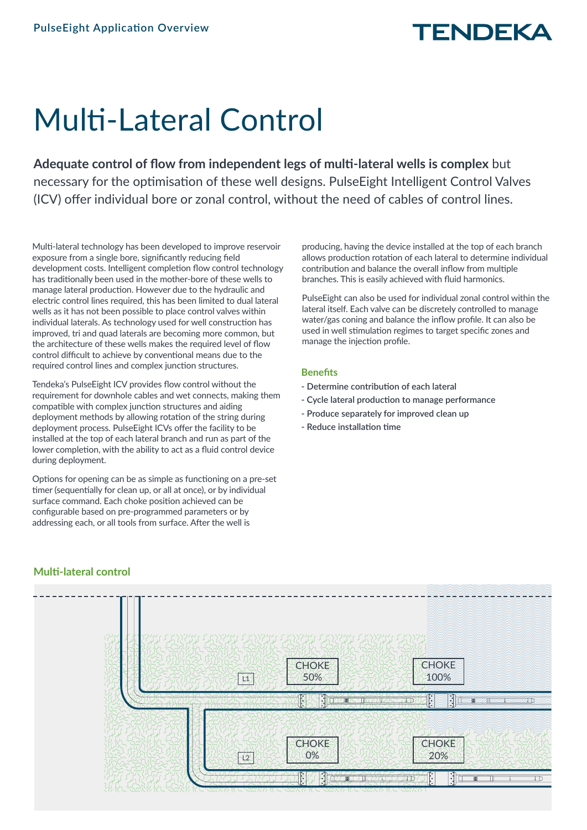# Multi-Lateral Control

**Adequate control of flow from independent legs of multi-lateral wells is complex** but necessary for the optimisation of these well designs. PulseEight Intelligent Control Valves (ICV) offer individual bore or zonal control, without the need of cables of control lines.

Multi-lateral technology has been developed to improve reservoir exposure from a single bore, significantly reducing field development costs. Intelligent completion flow control technology has traditionally been used in the mother-bore of these wells to manage lateral production. However due to the hydraulic and electric control lines required, this has been limited to dual lateral wells as it has not been possible to place control valves within individual laterals. As technology used for well construction has improved, tri and quad laterals are becoming more common, but the architecture of these wells makes the required level of flow control difficult to achieve by conventional means due to the required control lines and complex junction structures.

Tendeka's PulseEight ICV provides flow control without the requirement for downhole cables and wet connects, making them compatible with complex junction structures and aiding deployment methods by allowing rotation of the string during deployment process. PulseEight ICVs offer the facility to be installed at the top of each lateral branch and run as part of the lower completion, with the ability to act as a fluid control device during deployment.

Options for opening can be as simple as functioning on a pre-set timer (sequentially for clean up, or all at once), or by individual surface command. Each choke position achieved can be configurable based on pre-programmed parameters or by addressing each, or all tools from surface. After the well is

producing, having the device installed at the top of each branch allows production rotation of each lateral to determine individual contribution and balance the overall inflow from multiple branches. This is easily achieved with fluid harmonics.

PulseEight can also be used for individual zonal control within the lateral itself. Each valve can be discretely controlled to manage water/gas coning and balance the inflow profile. It can also be used in well stimulation regimes to target specific zones and manage the injection profile.

### **Benefits**

- **Determine contribution of each lateral**
- **Cycle lateral production to manage performance**
- **Produce separately for improved clean up**
- **Reduce installation time**



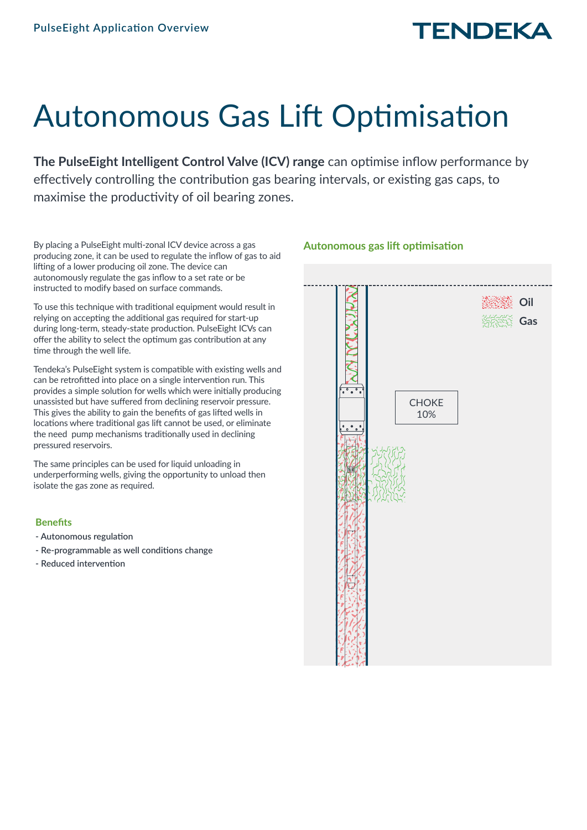# Autonomous Gas Lift Optimisation

**The PulseEight Intelligent Control Valve (ICV) range** can optimise inflow performance by effectively controlling the contribution gas bearing intervals, or existing gas caps, to maximise the productivity of oil bearing zones.

By placing a PulseEight multi-zonal ICV device across a gas producing zone, it can be used to regulate the inflow of gas to aid lifting of a lower producing oil zone. The device can autonomously regulate the gas inflow to a set rate or be instructed to modify based on surface commands.

To use this technique with traditional equipment would result in relying on accepting the additional gas required for start-up during long-term, steady-state production. PulseEight ICVs can offer the ability to select the optimum gas contribution at any time through the well life.

Tendeka's PulseEight system is compatible with existing wells and can be retrofitted into place on a single intervention run. This provides a simple solution for wells which were initially producing unassisted but have suffered from declining reservoir pressure. This gives the ability to gain the benefits of gas lifted wells in locations where traditional gas lift cannot be used, or eliminate the need pump mechanisms traditionally used in declining pressured reservoirs.

The same principles can be used for liquid unloading in underperforming wells, giving the opportunity to unload then isolate the gas zone as required.

### **Benefits**

- **Autonomous regulation**
- **Re-programmable as well conditions change**
- **Reduced intervention**

# **Oil Gas** $^{\circ}$  . **CHOKE** 10%

### **Autonomous gas lift optimisation**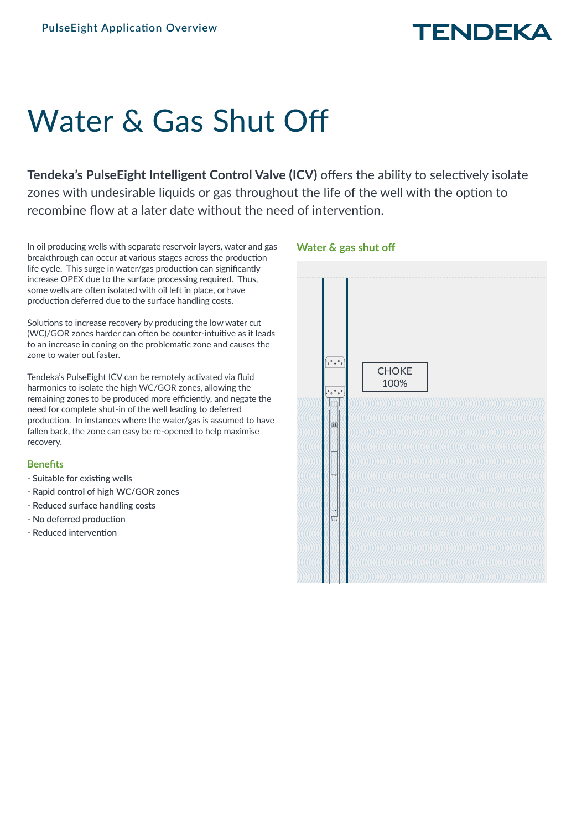# Water & Gas Shut Off

**Tendeka's PulseEight Intelligent Control Valve (ICV)** offers the ability to selectively isolate zones with undesirable liquids or gas throughout the life of the well with the option to recombine flow at a later date without the need of intervention.

In oil producing wells with separate reservoir layers, water and gas breakthrough can occur at various stages across the production life cycle. This surge in water/gas production can significantly increase OPEX due to the surface processing required. Thus, some wells are often isolated with oil left in place, or have production deferred due to the surface handling costs.

Solutions to increase recovery by producing the low water cut (WC)/GOR zones harder can often be counter-intuitive as it leads to an increase in coning on the problematic zone and causes the zone to water out faster.

Tendeka's PulseEight ICV can be remotely activated via fluid harmonics to isolate the high WC/GOR zones, allowing the remaining zones to be produced more efficiently, and negate the need for complete shut-in of the well leading to deferred production. In instances where the water/gas is assumed to have fallen back, the zone can easy be re-opened to help maximise recovery.

### **Benefits**

- **Suitable for existing wells**
- **Rapid control of high WC/GOR zones**
- **Reduced surface handling costs**
- **No deferred production**
- **Reduced intervention**



### **Water & gas shut off**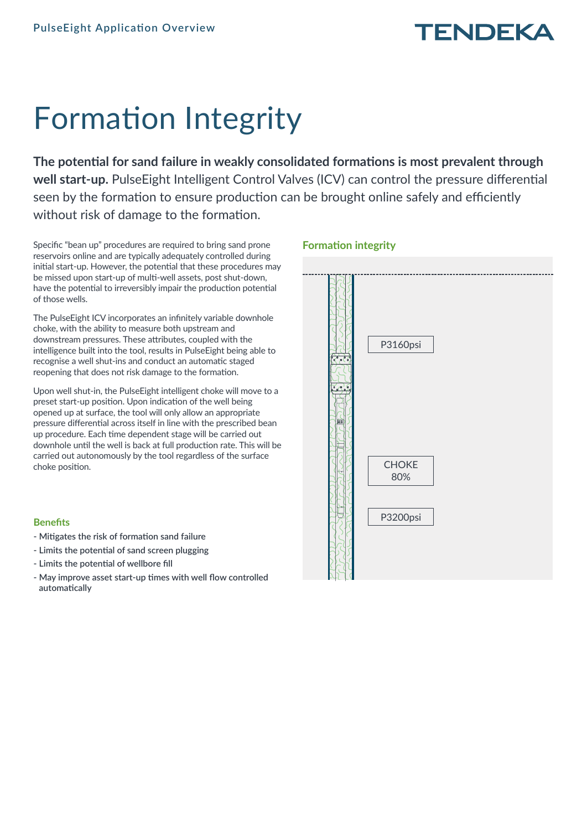# Formation Integrity

**The potential for sand failure in weakly consolidated formations is most prevalent through well start-up.** PulseEight Intelligent Control Valves (ICV) can control the pressure differential seen by the formation to ensure production can be brought online safely and efficiently without risk of damage to the formation.

Specific "bean up" procedures are required to bring sand prone reservoirs online and are typically adequately controlled during initial start-up. However, the potential that these procedures may be missed upon start-up of multi-well assets, post shut-down, have the potential to irreversibly impair the production potential of those wells.

The PulseEight ICV incorporates an infinitely variable downhole choke, with the ability to measure both upstream and downstream pressures. These attributes, coupled with the intelligence built into the tool, results in PulseEight being able to recognise a well shut-ins and conduct an automatic staged reopening that does not risk damage to the formation.

Upon well shut-in, the PulseEight intelligent choke will move to a preset start-up position. Upon indication of the well being opened up at surface, the tool will only allow an appropriate pressure differential across itself in line with the prescribed bean up procedure. Each time dependent stage will be carried out downhole until the well is back at full production rate. This will be carried out autonomously by the tool regardless of the surface choke position.

### **Benefits**

- **Mitigates the risk of formation sand failure**
- **Limits the potential of sand screen plugging**
- **Limits the potential of wellbore fill**
- **May improve asset start-up times with well flow controlled automatically**

### **Formation integrity**

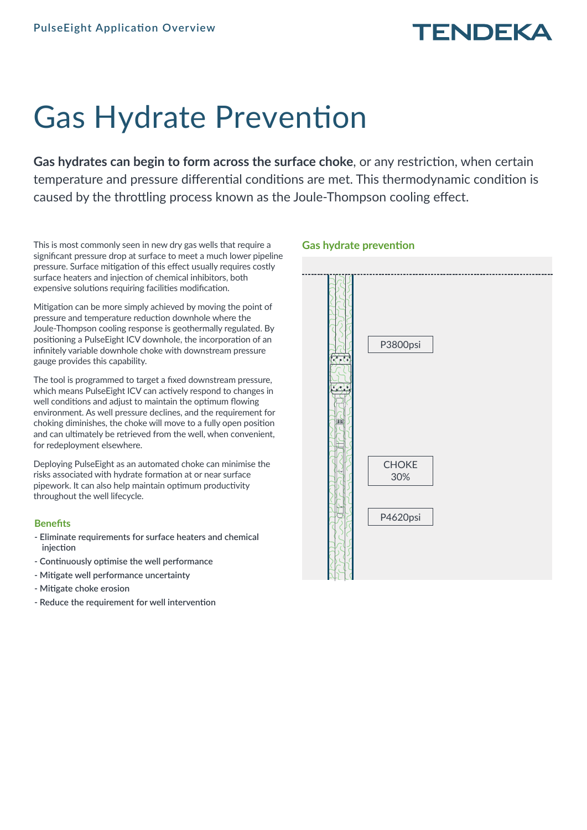# Gas Hydrate Prevention

**Gas hydrates can begin to form across the surface choke**, or any restriction, when certain temperature and pressure differential conditions are met. This thermodynamic condition is caused by the throttling process known as the Joule-Thompson cooling effect.

This is most commonly seen in new dry gas wells that require a significant pressure drop at surface to meet a much lower pipeline pressure. Surface mitigation of this effect usually requires costly surface heaters and injection of chemical inhibitors, both expensive solutions requiring facilities modification.

Mitigation can be more simply achieved by moving the point of pressure and temperature reduction downhole where the Joule-Thompson cooling response is geothermally regulated. By positioning a PulseEight ICV downhole, the incorporation of an infinitely variable downhole choke with downstream pressure gauge provides this capability.

The tool is programmed to target a fixed downstream pressure, which means PulseEight ICV can actively respond to changes in well conditions and adjust to maintain the optimum flowing environment. As well pressure declines, and the requirement for choking diminishes, the choke will move to a fully open position and can ultimately be retrieved from the well, when convenient, for redeployment elsewhere.

Deploying PulseEight as an automated choke can minimise the risks associated with hydrate formation at or near surface pipework. It can also help maintain optimum productivity throughout the well lifecycle.

### **Benefits**

- **Eliminate requirements for surface heaters and chemical injection**
- **Continuously optimise the well performance**
- **Mitigate well performance uncertainty**
- **Mitigate choke erosion**
- **Reduce the requirement for well intervention**

### **Gas hydrate prevention**